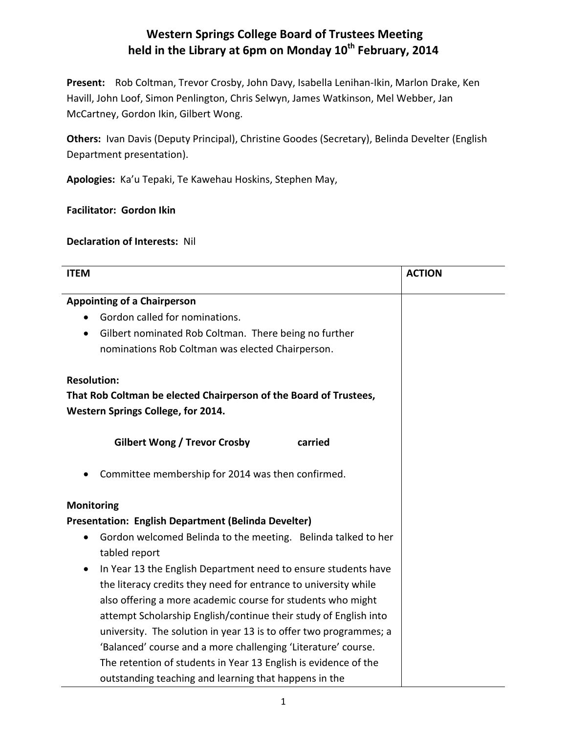## **Western Springs College Board of Trustees Meeting held in the Library at 6pm on Monday 10th February, 2014**

**Present:** Rob Coltman, Trevor Crosby, John Davy, Isabella Lenihan-Ikin, Marlon Drake, Ken Havill, John Loof, Simon Penlington, Chris Selwyn, James Watkinson, Mel Webber, Jan McCartney, Gordon Ikin, Gilbert Wong.

**Others:** Ivan Davis (Deputy Principal), Christine Goodes (Secretary), Belinda Develter (English Department presentation).

**Apologies:** Ka'u Tepaki, Te Kawehau Hoskins, Stephen May,

**Facilitator: Gordon Ikin**

**Declaration of Interests:** Nil

| <b>ITEM</b>                                                                | <b>ACTION</b> |  |  |
|----------------------------------------------------------------------------|---------------|--|--|
| <b>Appointing of a Chairperson</b>                                         |               |  |  |
| Gordon called for nominations.                                             |               |  |  |
| Gilbert nominated Rob Coltman. There being no further                      |               |  |  |
| nominations Rob Coltman was elected Chairperson.                           |               |  |  |
|                                                                            |               |  |  |
| <b>Resolution:</b>                                                         |               |  |  |
| That Rob Coltman be elected Chairperson of the Board of Trustees,          |               |  |  |
| Western Springs College, for 2014.                                         |               |  |  |
|                                                                            |               |  |  |
| <b>Gilbert Wong / Trevor Crosby</b><br>carried                             |               |  |  |
| Committee membership for 2014 was then confirmed.                          |               |  |  |
| <b>Monitoring</b>                                                          |               |  |  |
| Presentation: English Department (Belinda Develter)                        |               |  |  |
| Gordon welcomed Belinda to the meeting. Belinda talked to her<br>$\bullet$ |               |  |  |
| tabled report                                                              |               |  |  |
| In Year 13 the English Department need to ensure students have             |               |  |  |
| the literacy credits they need for entrance to university while            |               |  |  |
| also offering a more academic course for students who might                |               |  |  |
| attempt Scholarship English/continue their study of English into           |               |  |  |
| university. The solution in year 13 is to offer two programmes; a          |               |  |  |
| 'Balanced' course and a more challenging 'Literature' course.              |               |  |  |
| The retention of students in Year 13 English is evidence of the            |               |  |  |
| outstanding teaching and learning that happens in the                      |               |  |  |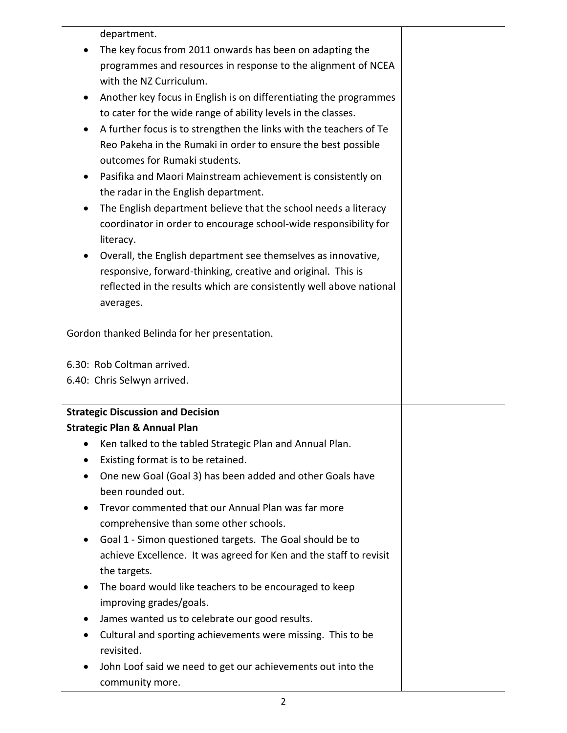department.

- The key focus from 2011 onwards has been on adapting the programmes and resources in response to the alignment of NCEA with the NZ Curriculum.
- Another key focus in English is on differentiating the programmes to cater for the wide range of ability levels in the classes.
- A further focus is to strengthen the links with the teachers of Te Reo Pakeha in the Rumaki in order to ensure the best possible outcomes for Rumaki students.
- Pasifika and Maori Mainstream achievement is consistently on the radar in the English department.
- The English department believe that the school needs a literacy coordinator in order to encourage school-wide responsibility for literacy.
- Overall, the English department see themselves as innovative, responsive, forward-thinking, creative and original. This is reflected in the results which are consistently well above national averages.

Gordon thanked Belinda for her presentation.

6.30: Rob Coltman arrived.

6.40: Chris Selwyn arrived.

## **Strategic Discussion and Decision Strategic Plan & Annual Plan**

- Ken talked to the tabled Strategic Plan and Annual Plan.
- Existing format is to be retained.
- One new Goal (Goal 3) has been added and other Goals have been rounded out.
- Trevor commented that our Annual Plan was far more comprehensive than some other schools.
- Goal 1 Simon questioned targets. The Goal should be to achieve Excellence. It was agreed for Ken and the staff to revisit the targets.
- The board would like teachers to be encouraged to keep improving grades/goals.
- James wanted us to celebrate our good results.
- Cultural and sporting achievements were missing. This to be revisited.
- John Loof said we need to get our achievements out into the community more.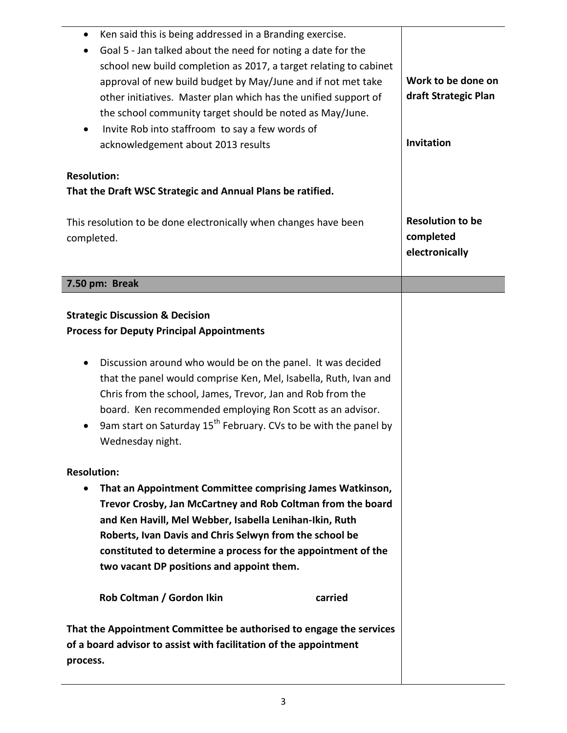| Ken said this is being addressed in a Branding exercise.<br>$\bullet$<br>Goal 5 - Jan talked about the need for noting a date for the<br>school new build completion as 2017, a target relating to cabinet<br>approval of new build budget by May/June and if not met take<br>other initiatives. Master plan which has the unified support of<br>the school community target should be noted as May/June.<br>Invite Rob into staffroom to say a few words of<br>$\bullet$<br>acknowledgement about 2013 results | Work to be done on<br>draft Strategic Plan<br>Invitation |
|-----------------------------------------------------------------------------------------------------------------------------------------------------------------------------------------------------------------------------------------------------------------------------------------------------------------------------------------------------------------------------------------------------------------------------------------------------------------------------------------------------------------|----------------------------------------------------------|
| <b>Resolution:</b><br>That the Draft WSC Strategic and Annual Plans be ratified.                                                                                                                                                                                                                                                                                                                                                                                                                                |                                                          |
| This resolution to be done electronically when changes have been<br>completed.                                                                                                                                                                                                                                                                                                                                                                                                                                  | <b>Resolution to be</b><br>completed<br>electronically   |
| 7.50 pm: Break                                                                                                                                                                                                                                                                                                                                                                                                                                                                                                  |                                                          |
| <b>Strategic Discussion &amp; Decision</b><br><b>Process for Deputy Principal Appointments</b><br>Discussion around who would be on the panel. It was decided<br>that the panel would comprise Ken, Mel, Isabella, Ruth, Ivan and<br>Chris from the school, James, Trevor, Jan and Rob from the<br>board. Ken recommended employing Ron Scott as an advisor.<br>9am start on Saturday 15 <sup>th</sup> February. CVs to be with the panel by<br>Wednesday night.                                                |                                                          |
| <b>Resolution:</b><br>That an Appointment Committee comprising James Watkinson,<br>$\bullet$<br>Trevor Crosby, Jan McCartney and Rob Coltman from the board<br>and Ken Havill, Mel Webber, Isabella Lenihan-Ikin, Ruth<br>Roberts, Ivan Davis and Chris Selwyn from the school be<br>constituted to determine a process for the appointment of the<br>two vacant DP positions and appoint them.                                                                                                                 |                                                          |
| Rob Coltman / Gordon Ikin<br>carried                                                                                                                                                                                                                                                                                                                                                                                                                                                                            |                                                          |
| That the Appointment Committee be authorised to engage the services<br>of a board advisor to assist with facilitation of the appointment<br>process.                                                                                                                                                                                                                                                                                                                                                            |                                                          |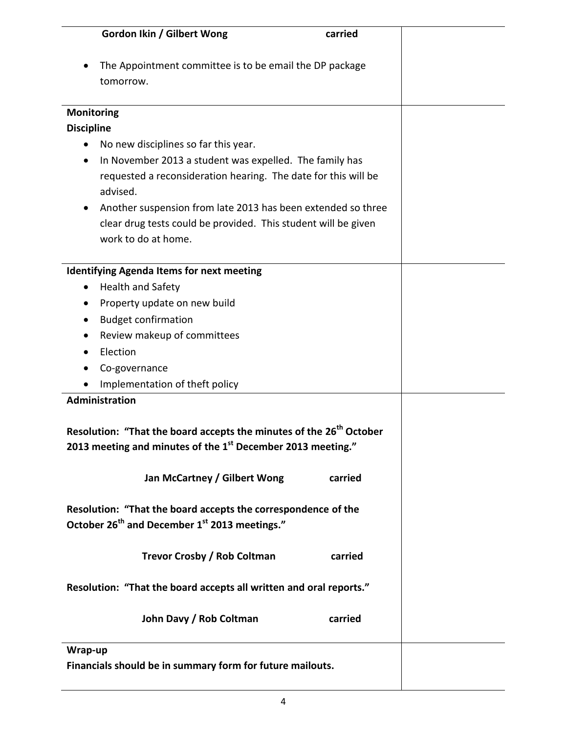|                                                                                                                                                | <b>Gordon Ikin / Gilbert Wong</b>                                          | carried |  |  |
|------------------------------------------------------------------------------------------------------------------------------------------------|----------------------------------------------------------------------------|---------|--|--|
|                                                                                                                                                | The Appointment committee is to be email the DP package<br>tomorrow.       |         |  |  |
| <b>Monitoring</b>                                                                                                                              |                                                                            |         |  |  |
| <b>Discipline</b>                                                                                                                              |                                                                            |         |  |  |
|                                                                                                                                                | No new disciplines so far this year.                                       |         |  |  |
|                                                                                                                                                | In November 2013 a student was expelled. The family has                    |         |  |  |
|                                                                                                                                                | requested a reconsideration hearing. The date for this will be<br>advised. |         |  |  |
|                                                                                                                                                | Another suspension from late 2013 has been extended so three               |         |  |  |
|                                                                                                                                                | clear drug tests could be provided. This student will be given             |         |  |  |
|                                                                                                                                                | work to do at home.                                                        |         |  |  |
|                                                                                                                                                |                                                                            |         |  |  |
|                                                                                                                                                | <b>Identifying Agenda Items for next meeting</b>                           |         |  |  |
| $\bullet$                                                                                                                                      | <b>Health and Safety</b>                                                   |         |  |  |
| $\bullet$                                                                                                                                      | Property update on new build                                               |         |  |  |
| ٠                                                                                                                                              | <b>Budget confirmation</b>                                                 |         |  |  |
|                                                                                                                                                | Review makeup of committees                                                |         |  |  |
|                                                                                                                                                | Election                                                                   |         |  |  |
|                                                                                                                                                | Co-governance                                                              |         |  |  |
|                                                                                                                                                | Implementation of theft policy                                             |         |  |  |
|                                                                                                                                                | Administration                                                             |         |  |  |
| Resolution: "That the board accepts the minutes of the 26 <sup>th</sup> October<br>2013 meeting and minutes of the 1st December 2013 meeting." |                                                                            |         |  |  |
|                                                                                                                                                | Jan McCartney / Gilbert Wong                                               | carried |  |  |
|                                                                                                                                                | Resolution: "That the board accepts the correspondence of the              |         |  |  |
|                                                                                                                                                | October 26 <sup>th</sup> and December 1 <sup>st</sup> 2013 meetings."      |         |  |  |
|                                                                                                                                                | Trevor Crosby / Rob Coltman                                                | carried |  |  |
|                                                                                                                                                | Resolution: "That the board accepts all written and oral reports."         |         |  |  |
|                                                                                                                                                | John Davy / Rob Coltman                                                    | carried |  |  |
| Wrap-up                                                                                                                                        |                                                                            |         |  |  |
|                                                                                                                                                | Financials should be in summary form for future mailouts.                  |         |  |  |